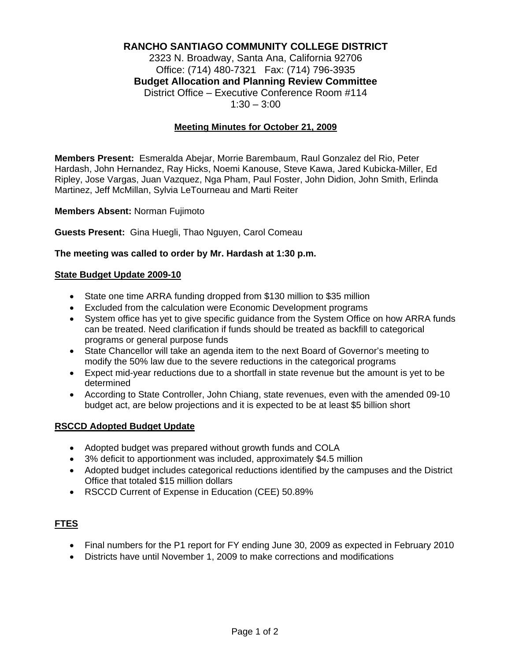# **RANCHO SANTIAGO COMMUNITY COLLEGE DISTRICT**

2323 N. Broadway, Santa Ana, California 92706 Office: (714) 480-7321 Fax: (714) 796-3935 **Budget Allocation and Planning Review Committee** District Office – Executive Conference Room #114  $1:30 - 3:00$ 

## **Meeting Minutes for October 21, 2009**

**Members Present:** Esmeralda Abejar, Morrie Barembaum, Raul Gonzalez del Rio, Peter Hardash, John Hernandez, Ray Hicks, Noemi Kanouse, Steve Kawa, Jared Kubicka-Miller, Ed Ripley, Jose Vargas, Juan Vazquez, Nga Pham, Paul Foster, John Didion, John Smith, Erlinda Martinez, Jeff McMillan, Sylvia LeTourneau and Marti Reiter

**Members Absent:** Norman Fujimoto

**Guests Present:** Gina Huegli, Thao Nguyen, Carol Comeau

#### **The meeting was called to order by Mr. Hardash at 1:30 p.m.**

#### **State Budget Update 2009-10**

- State one time ARRA funding dropped from \$130 million to \$35 million
- Excluded from the calculation were Economic Development programs
- System office has yet to give specific guidance from the System Office on how ARRA funds can be treated. Need clarification if funds should be treated as backfill to categorical programs or general purpose funds
- State Chancellor will take an agenda item to the next Board of Governor's meeting to modify the 50% law due to the severe reductions in the categorical programs
- Expect mid-year reductions due to a shortfall in state revenue but the amount is yet to be determined
- According to State Controller, John Chiang, state revenues, even with the amended 09-10 budget act, are below projections and it is expected to be at least \$5 billion short

#### **RSCCD Adopted Budget Update**

- Adopted budget was prepared without growth funds and COLA
- 3% deficit to apportionment was included, approximately \$4.5 million
- Adopted budget includes categorical reductions identified by the campuses and the District Office that totaled \$15 million dollars
- RSCCD Current of Expense in Education (CEE) 50.89%

## **FTES**

- Final numbers for the P1 report for FY ending June 30, 2009 as expected in February 2010
- Districts have until November 1, 2009 to make corrections and modifications